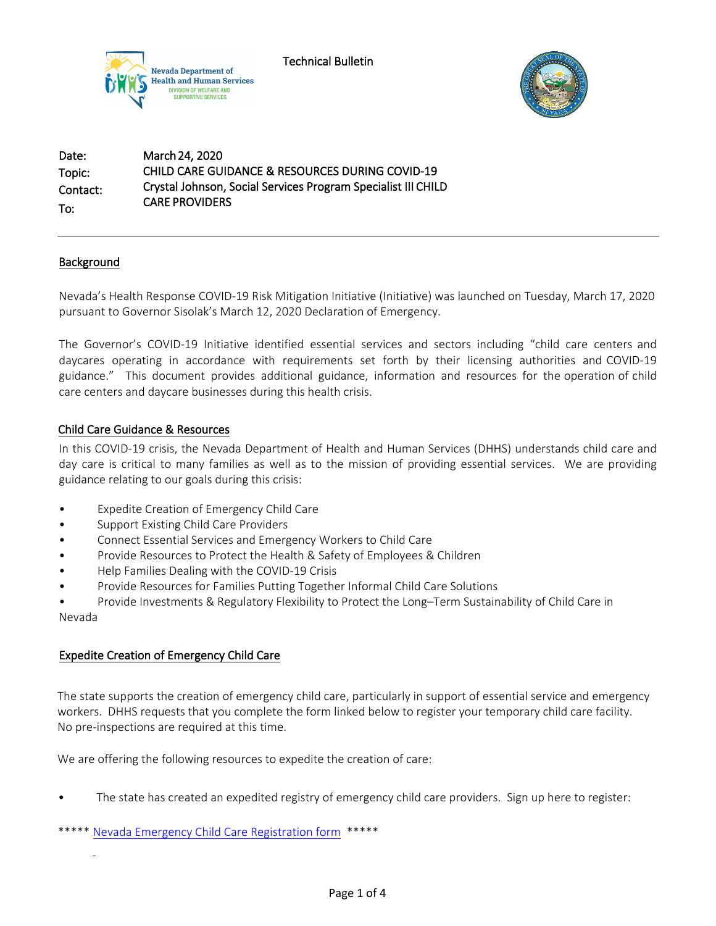

Technical Bulletin



Date: Topic: Contact: To: March 24, 2020 CHILD CARE GUIDANCE & RESOURCES DURING COVID-19 Crystal Johnson, Social Services Program Specialist III CHILD CARE PROVIDERS

# Background

Nevada's Health Response COVID-19 Risk Mitigation Initiative (Initiative) was launched on Tuesday, March 17, 2020 pursuant to Governor Sisolak's March 12, 2020 Declaration of Emergency.

The Governor's COVID-19 Initiative identified essential services and sectors including "child care centers and daycares operating in accordance with requirements set forth by their licensing authorities and COVID-19 guidance." This document provides additional guidance, information and resources for the operation of child care centers and daycare businesses during this health crisis.

# Child Care Guidance & Resources

In this COVID-19 crisis, the Nevada Department of Health and Human Services (DHHS) understands child care and day care is critical to many families as well as to the mission of providing essential services. We are providing guidance relating to our goals during this crisis:

- Expedite Creation of Emergency Child Care
- Support Existing Child Care Providers
- Connect Essential Services and Emergency Workers to Child Care
- Provide Resources to Protect the Health & Safety of Employees & Children
- Help Families Dealing with the COVID-19 Crisis
- Provide Resources for Families Putting Together Informal Child Care Solutions

• Provide Investments & Regulatory Flexibility to Protect the Long–Term Sustainability of Child Care in Nevada

# Expedite Creation of Emergency Child Care

The state supports the creation of emergency child care, particularly in support of essential service and emergency workers. DHHS requests that you complete the form linked below to register your temporary child care facility. No pre-inspections are required at this time.

We are offering the following resources to expedite the creation of care:

• The state has created an expedited registry of emergency child care providers. Sign up here to register:

\*\*\*\*\* [Nevada Emergency Child Care Registration form](https://nvhealth.qualtrics.com/jfe/form/SV_6fJlCak4dnzn109) \*\*\*\*\*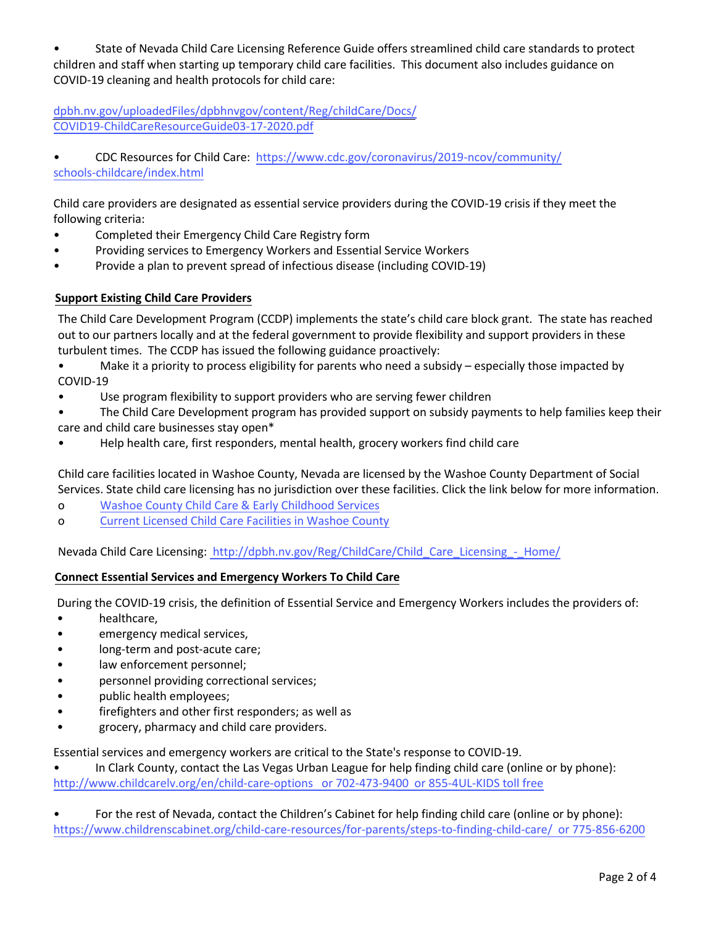• State of Nevada Child Care Licensing Reference Guide offers streamlined child care standards to protect children and staff when starting up temporary child care facilities. This document also includes guidance on COVID-19 cleaning and health protocols for child care:

[dpbh.nv.gov/uploadedFiles/dpbhnvgov/content/Reg/childCare/Docs/](dpbh.nv.gov/uploadedFiles/dpbhnvgov/content/Reg/childCare/Docs/COVID19-ChildCareResourceGuide03-17-2020.pdf) COVID19-ChildCareResourceGuide03-17-2020.pdf

• CDC Resources for Child Care: [https://www.cdc.gov/coronavirus/2019-ncov/community/](https://www.cdc.gov/coronavirus/2019-ncov/community/schools-childcare/index.html) [schools-childcare/index](https://www.cdc.gov/coronavirus/2019-ncov/community/schools-childcare/index.html).html

Child care providers are designated as essential service providers during the COVID-19 crisis if they meet the following criteria:

- Completed their Emergency Child Care Registry form
- Providing services to Emergency Workers and Essential Service Workers
- Provide a plan to prevent spread of infectious disease (including COVID-19)

# **Support Existing Child Care Providers**

The Child Care Development Program (CCDP) implements the state's child care block grant. The state has reached out to our partners locally and at the federal government to provide flexibility and support providers in these turbulent times. The CCDP has issued the following guidance proactively:

• Make it a priority to process eligibility for parents who need a subsidy – especially those impacted by COVID-19

Use program flexibility to support providers who are serving fewer children

• The Child Care Development program has provided support on subsidy payments to help families keep their care and child care businesses stay open\*

• Help health care, first responders, mental health, grocery workers find child care

Child care facilities located in Washoe County, Nevada are licensed by the Washoe County Department of Social Services. State child care licensing has no jurisdiction over these facilities. Click the link below for more information.

- o Washoe County Child Care & Early [Childhood](https://www.washoecounty.us/hsa/childrens_services/child_care_and_early_childhood_services/index.php) Services
- o Current [Licensed](https://www.washoecounty.us/hsa/childrens_services/child_care_and_early_childhood_services/current_facilities/index.php) Child Care Facilities in Washoe County

Nevada Child Care Licensing: [http://dpbh.nv.gov/Reg/ChildCare/Child\\_Care\\_Licensing\\_-\\_Home/](http://dpbh.nv.gov/Reg/ChildCare/Child_Care_Licensing_-_Home/)

# **Connect Essential Services and Emergency Workers To Child Care**

During the COVID-19 crisis, the definition of Essential Service and Emergency Workers includes the providers of:

- healthcare,
- emergency medical services,
- long-term and post-acute care;
- law enforcement personnel;
- personnel providing correctional services;
- public health employees;
- firefighters and other first responders; as well as
- grocery, pharmacy and child care providers.

Essential services and emergency workers are critical to the State's response to COVID-19.

• In Clark County, contact the Las Vegas Urban League for help finding child care (online or by phone): http://[www.childcarelv.org/en/child-care-options or](http://www.childcarelv.org/en/child-care-options) 702-473-9400 or 855-4UL-KIDS toll free

[• For](https://www.cdc.gov/infectioncontrol/guidelines/isolation/index.html) the rest of Nevada, contact the Children's Cabinet for help finding child care (online or by phone): <https://www.childrenscabinet.org/child-care-resources/for-parents/steps-to-finding-child-care/> or 775-856-6200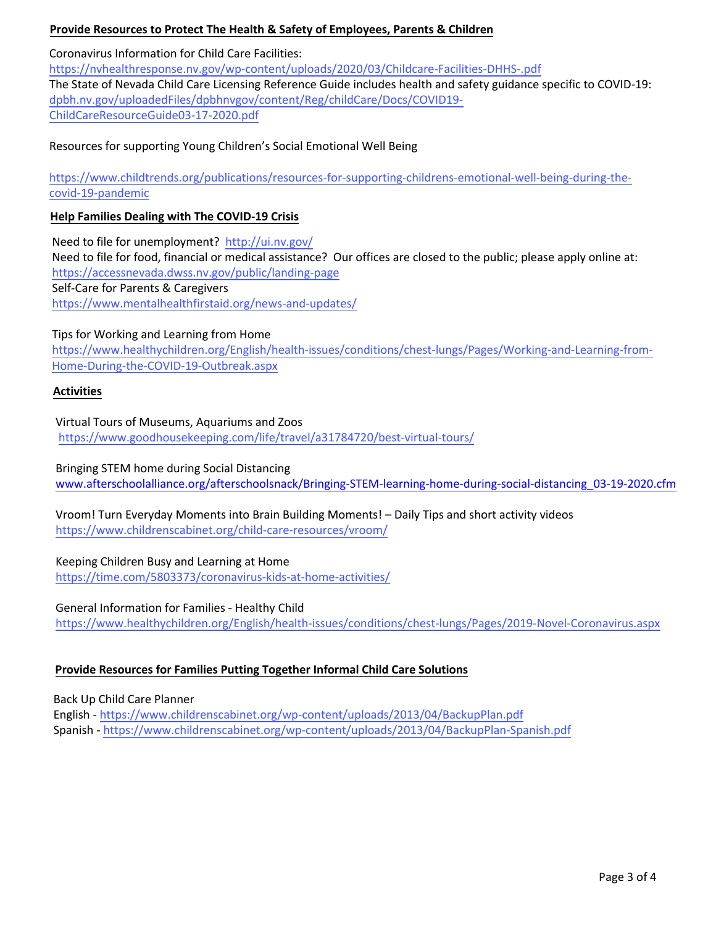# **Provide Resources to Protect The Health & Safety of Employees, Parents & Children**

### Coronavirus Information for Child Care Facilities:

<https://nvhealthresponse.nv.gov/wp-content/uploads/2020/03/Childcare-Facilities-DHHS-.pdf> The State of Nevada Child Care Licensing Reference Guide includes health and safety guidance specific to COVID-19: dpbh.nv.gov/uploadedFiles/dpbhnvgov/content/Reg/childCare/Docs/COVID19- ChildCareResourceGuide03-17-2020.pdf

### Resources for supporting Young Children's Social Emotional Well Being

[https://www.childtrends.org/publications/resources-for-supporting-childrens-emotional-well-being-during-the](https://www.childtrends.org/publications/resources-for-supporting-childrens-emotional-well-being-during-the-covid-19-pandemic)[covid-19-pandemic](https://www.childtrends.org/publications/resources-for-supporting-childrens-emotional-well-being-during-the-covid-19-pandemic)

#### **Help Families Dealing with The COVID-19 Crisis**

Need to file for unemployment? <http://ui.nv.gov/> Need to file for food, financial or medical a[ssistance? Our](https://www.cdc.gov/infectioncontrol/pdf/guidelines/isolation-guidelines-H.pdf) offices are closed to the public; please apply online at: https://accessnevada.dwss.nv.gov/public/landing-page Self-Care for Parents & Caregivers <https://www.mentalhealthfirstaid.org/news-and-updates/>

### Tips for Working and Learning from Home

[https://www.healthychildren.org/English/health-issues/conditions/chest-lungs/Pages/Working-and-Learning-from-](https://www.healthychildren.org/English/health-issues/conditions/chest-lungs/Pages/Working-and-Learning-from-Home-During-the-COVID-19-Outbreak.aspx)[Home-During-the-COVID-19-Outbreak.aspx](https://www.healthychildren.org/English/health-issues/conditions/chest-lungs/Pages/Working-and-Learning-from-Home-During-the-COVID-19-Outbreak.aspx)

### **Activities**

Virtual Tours of Museums, Aquariums and Zoos <https://www.goodhousekeeping.com/life/travel/a31784720/best-virtual-tours/>

#### Bringing STEM home during Social Distancing

[www.afterschoolalliance.org/afterschoolsnack/Bringing-STEM-learning-home-during-social-distancing\\_03-19-2020.cfm](http://www.afterschoolalliance.org/afterschoolsnack/Bringing-STEM-learning-home-during-social-distancing_03-19-2020.cfm)

Vroom! Turn Everyday Moments into Brain Building Moments! – Daily Tips and short activity videos <https://www.childrenscabinet.org/child-care-resources/vroom/>

# Keeping Children Busy and Learning at Home

<https://time.com/5803373/coronavirus-kids-at-home-activities/>

#### General Information for Families - Healthy Child

<https://www.healthychildren.org/English/health-issues/conditions/chest-lungs/Pages/2019-Novel-Coronavirus.aspx>

# **Provide Resources for Families Putting Together Informal Child Care Solutions**

Back Up Child Care Planner

English - <https://www.childrenscabinet.org/wp-content/uploads/2013/04/BackupPlan.pdf> Spanish - [https://www.childrenscabinet.org/wp-content/uploads/2013/04/BackupPlan-Spanish.pdf](https://www.childrenscabinet.org/wp-content/uploads/2013/04/BackupPlan.pdf)